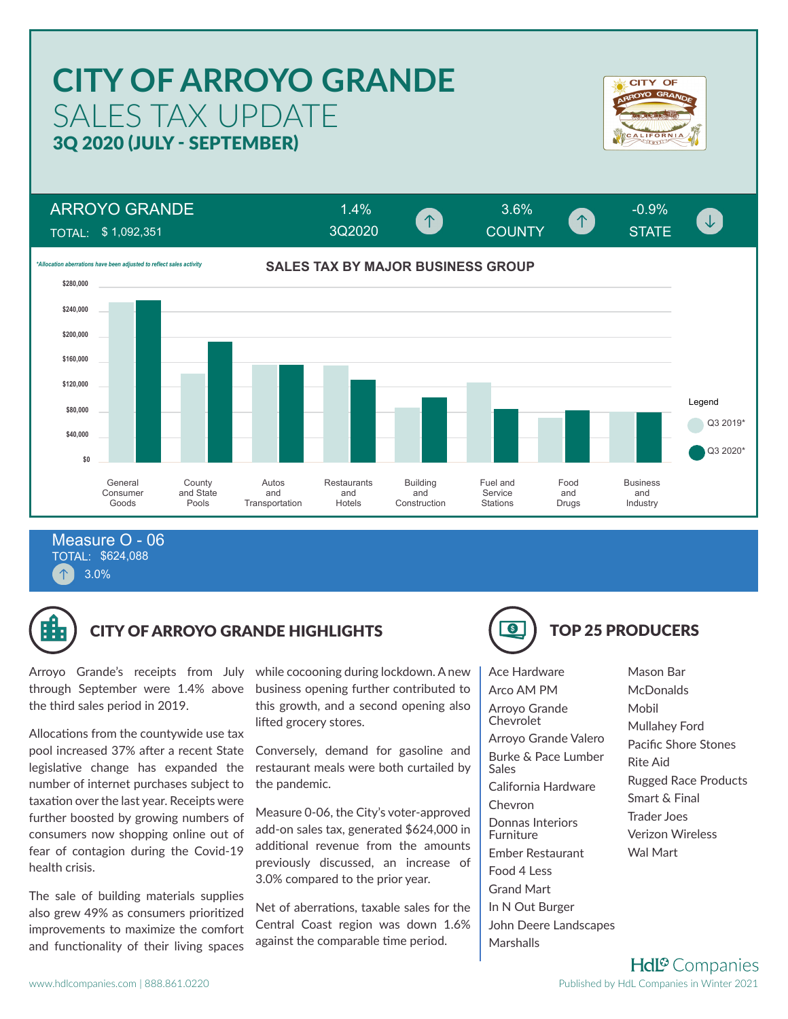### **CITY OF ARROYO GRANDE CITY OF** SALES TAX UPDATE 3Q 2020 (JULY - SEPTEMBER) ARROYO GRANDE 1.4% 3.6% -0.9% COUNTY **COUNTY** STATE  $\downarrow$ 3Q2020TOTAL: \$ 1,092,351 **SALES TAX BY MAJOR BUSINESS GROUP** *\*Allocation aberrations have been adjusted to reflect sales activity* **\$280,000 \$240,000 \$200,000 \$160,000 \$120,000** Legend **\$80,000** Q3 2019\* **\$40,000** Q3 2020\* **\$0** General **County** Autos **Restaurants** Building Fuel and Food Business and and Consumer and State and Service and and **Transportation** Hotels Construction **Stations** Drugs Industry Goods Pools

TOTAL: \$624,088 3.0% Measure O - 06



# CITY OF ARROYO GRANDE HIGHLIGHTS **TOP 25 PRODUCERS**

Arroyo Grande's receipts from July through September were 1.4% above the third sales period in 2019.

Allocations from the countywide use tax pool increased 37% after a recent State legislative change has expanded the number of internet purchases subject to taxation over the last year. Receipts were further boosted by growing numbers of consumers now shopping online out of fear of contagion during the Covid-19 health crisis.

The sale of building materials supplies also grew 49% as consumers prioritized improvements to maximize the comfort and functionality of their living spaces

while cocooning during lockdown. A new business opening further contributed to this growth, and a second opening also lifted grocery stores.

Conversely, demand for gasoline and restaurant meals were both curtailed by the pandemic.

Measure 0-06, the City's voter-approved add-on sales tax, generated \$624,000 in additional revenue from the amounts previously discussed, an increase of 3.0% compared to the prior year.

Net of aberrations, taxable sales for the Central Coast region was down 1.6% against the comparable time period.

Ace Hardware Arco AM PM Arroyo Grande Chevrolet Arroyo Grande Valero Burke & Pace Lumber Sales California Hardware Chevron Donnas Interiors Furniture Ember Restaurant Food 4 Less Grand Mart In N Out Burger John Deere Landscapes **Marshalls** 

Mason Bar **McDonalds** Mobil Mullahey Ford Pacific Shore Stones Rite Aid Rugged Race Products Smart & Final Trader Joes Verizon Wireless Wal Mart

**Hdl<sup>®</sup>** Companies Published by HdL Companies in Winter 2021